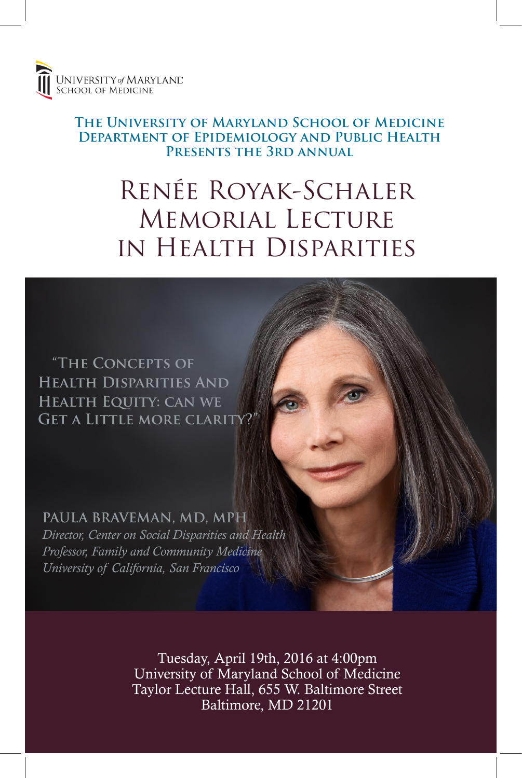

#### **The University of Maryland School of Medicine Department of Epidemiology and Public Health Presents the 3rd annual**

# Renée Royak-Schaler Memorial Lecture in Health Disparities

 **"The Concepts of Health Disparities And Health Equity: can we Get a Little more clarity?"**

**PAULA BRAVEMAN, MD, MPH** *Director, Center on Social Disparities and Health Professor, Family and Community Medicine University of California, San Francisco*

> Tuesday, April 19th, 2016 at 4:00pm University of Maryland School of Medicine Taylor Lecture Hall, 655 W. Baltimore Street Baltimore, MD 21201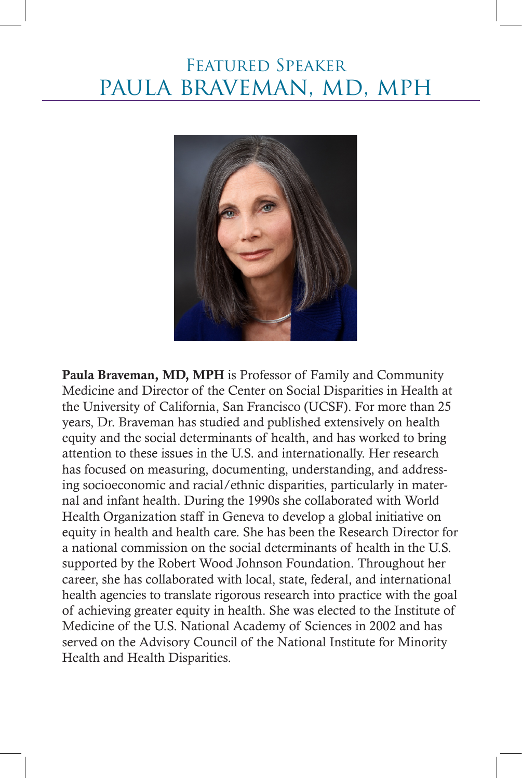## Featured Speaker paula braveman, md, mph



Paula Braveman, MD, MPH is Professor of Family and Community Medicine and Director of the Center on Social Disparities in Health at the University of California, San Francisco (UCSF). For more than 25 years, Dr. Braveman has studied and published extensively on health equity and the social determinants of health, and has worked to bring attention to these issues in the U.S. and internationally. Her research has focused on measuring, documenting, understanding, and addressing socioeconomic and racial/ethnic disparities, particularly in maternal and infant health. During the 1990s she collaborated with World Health Organization staff in Geneva to develop a global initiative on equity in health and health care. She has been the Research Director for a national commission on the social determinants of health in the U.S. supported by the Robert Wood Johnson Foundation. Throughout her career, she has collaborated with local, state, federal, and international health agencies to translate rigorous research into practice with the goal of achieving greater equity in health. She was elected to the Institute of Medicine of the U.S. National Academy of Sciences in 2002 and has served on the Advisory Council of the National Institute for Minority Health and Health Disparities.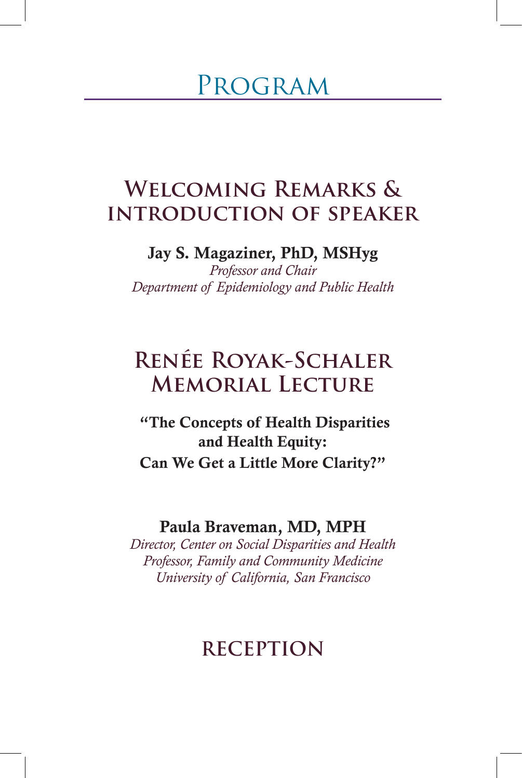## Program

## **Welcoming Remarks & introduction of speaker**

#### Jay S. Magaziner, PhD, MSHyg

*Professor and Chair Department of Epidemiology and Public Health*

## **Renée Royak-Schaler Memorial Lecture**

 "The Concepts of Health Disparities and Health Equity: Can We Get a Little More Clarity?"

#### Paula Braveman, MD, MPH

*Director, Center on Social Disparities and Health Professor, Family and Community Medicine University of California, San Francisco*

### **RECEPTION**